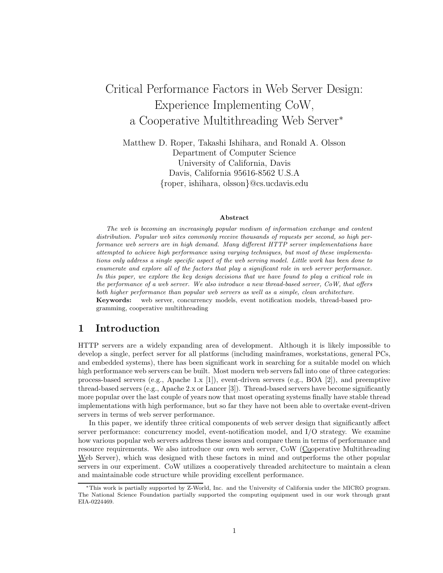# Critical Performance Factors in Web Server Design: Experience Implementing CoW, a Cooperative Multithreading Web Server<sup>∗</sup>

Matthew D. Roper, Takashi Ishihara, and Ronald A. Olsson Department of Computer Science University of California, Davis Davis, California 95616-8562 U.S.A {roper, ishihara, olsson}@cs.ucdavis.edu

#### Abstract

The web is becoming an increasingly popular medium of information exchange and content distribution. Popular web sites commonly receive thousands of requests per second, so high performance web servers are in high demand. Many different HTTP server implementations have attempted to achieve high performance using varying techniques, but most of these implementations only address a single specific aspect of the web serving model. Little work has been done to enumerate and explore all of the factors that play a significant role in web server performance. In this paper, we explore the key design decisions that we have found to play a critical role in the performance of a web server. We also introduce a new thread-based server, CoW, that offers both higher performance than popular web servers as well as a simple, clean architecture. Keywords: web server, concurrency models, event notification models, thread-based programming, cooperative multithreading

### 1 Introduction

HTTP servers are a widely expanding area of development. Although it is likely impossible to develop a single, perfect server for all platforms (including mainframes, workstations, general PCs, and embedded systems), there has been significant work in searching for a suitable model on which high performance web servers can be built. Most modern web servers fall into one of three categories: process-based servers (e.g., Apache 1.x [1]), event-driven servers (e.g., BOA [2]), and preemptive thread-based servers (e.g., Apache 2.x or Lancer [3]). Thread-based servers have become significantly more popular over the last couple of years now that most operating systems finally have stable thread implementations with high performance, but so far they have not been able to overtake event-driven servers in terms of web server performance.

In this paper, we identify three critical components of web server design that significantly affect server performance: concurrency model, event-notification model, and I/O strategy. We examine how various popular web servers address these issues and compare them in terms of performance and resource requirements. We also introduce our own web server, CoW (Cooperative Multithreading Web Server), which was designed with these factors in mind and outperforms the other popular servers in our experiment. CoW utilizes a cooperatively threaded architecture to maintain a clean and maintainable code structure while providing excellent performance.

<sup>∗</sup>This work is partially supported by Z-World, Inc. and the University of California under the MICRO program. The National Science Foundation partially supported the computing equipment used in our work through grant EIA-0224469.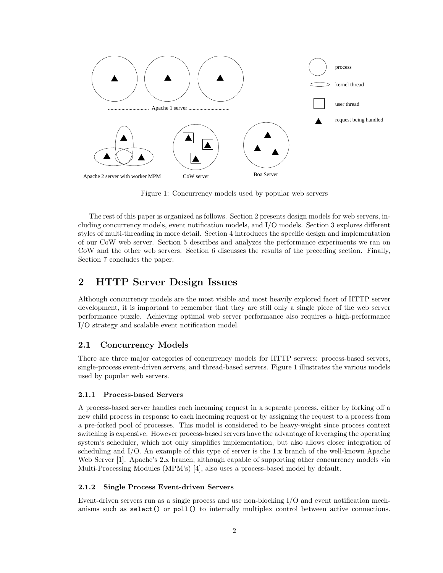

Figure 1: Concurrency models used by popular web servers

The rest of this paper is organized as follows. Section 2 presents design models for web servers, including concurrency models, event notification models, and I/O models. Section 3 explores different styles of multi-threading in more detail. Section 4 introduces the specific design and implementation of our CoW web server. Section 5 describes and analyzes the performance experiments we ran on CoW and the other web servers. Section 6 discusses the results of the preceding section. Finally, Section 7 concludes the paper.

# 2 HTTP Server Design Issues

Although concurrency models are the most visible and most heavily explored facet of HTTP server development, it is important to remember that they are still only a single piece of the web server performance puzzle. Achieving optimal web server performance also requires a high-performance I/O strategy and scalable event notification model.

### 2.1 Concurrency Models

There are three major categories of concurrency models for HTTP servers: process-based servers, single-process event-driven servers, and thread-based servers. Figure 1 illustrates the various models used by popular web servers.

#### 2.1.1 Process-based Servers

A process-based server handles each incoming request in a separate process, either by forking off a new child process in response to each incoming request or by assigning the request to a process from a pre-forked pool of processes. This model is considered to be heavy-weight since process context switching is expensive. However process-based servers have the advantage of leveraging the operating system's scheduler, which not only simplifies implementation, but also allows closer integration of scheduling and I/O. An example of this type of server is the 1.x branch of the well-known Apache Web Server [1]. Apache's 2.x branch, although capable of supporting other concurrency models via Multi-Processing Modules (MPM's) [4], also uses a process-based model by default.

#### 2.1.2 Single Process Event-driven Servers

Event-driven servers run as a single process and use non-blocking I/O and event notification mechanisms such as select() or poll() to internally multiplex control between active connections.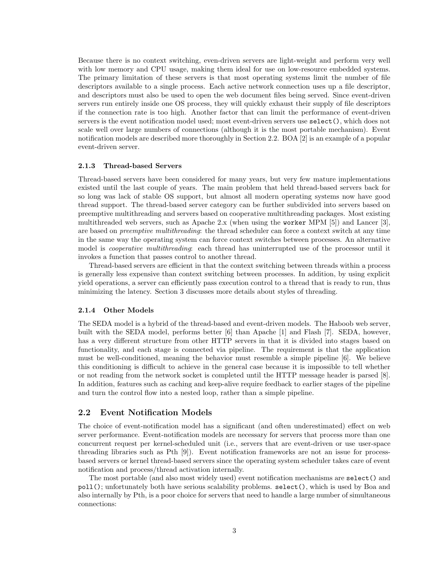Because there is no context switching, even-driven servers are light-weight and perform very well with low memory and CPU usage, making them ideal for use on low-resource embedded systems. The primary limitation of these servers is that most operating systems limit the number of file descriptors available to a single process. Each active network connection uses up a file descriptor, and descriptors must also be used to open the web document files being served. Since event-driven servers run entirely inside one OS process, they will quickly exhaust their supply of file descriptors if the connection rate is too high. Another factor that can limit the performance of event-driven servers is the event notification model used; most event-driven servers use select(), which does not scale well over large numbers of connections (although it is the most portable mechanism). Event notification models are described more thoroughly in Section 2.2. BOA [2] is an example of a popular event-driven server.

#### 2.1.3 Thread-based Servers

Thread-based servers have been considered for many years, but very few mature implementations existed until the last couple of years. The main problem that held thread-based servers back for so long was lack of stable OS support, but almost all modern operating systems now have good thread support. The thread-based server category can be further subdivided into servers based on preemptive multithreading and servers based on cooperative multithreading packages. Most existing multithreaded web servers, such as Apache 2.x (when using the worker MPM [5]) and Lancer [3], are based on *preemptive multithreading*: the thread scheduler can force a context switch at any time in the same way the operating system can force context switches between processes. An alternative model is *cooperative multithreading*: each thread has uninterrupted use of the processor until it invokes a function that passes control to another thread.

Thread-based servers are efficient in that the context switching between threads within a process is generally less expensive than context switching between processes. In addition, by using explicit yield operations, a server can efficiently pass execution control to a thread that is ready to run, thus minimizing the latency. Section 3 discusses more details about styles of threading.

#### 2.1.4 Other Models

The SEDA model is a hybrid of the thread-based and event-driven models. The Haboob web server, built with the SEDA model, performs better [6] than Apache [1] and Flash [7]. SEDA, however, has a very different structure from other HTTP servers in that it is divided into stages based on functionality, and each stage is connected via pipeline. The requirement is that the application must be well-conditioned, meaning the behavior must resemble a simple pipeline [6]. We believe this conditioning is difficult to achieve in the general case because it is impossible to tell whether or not reading from the network socket is completed until the HTTP message header is parsed [8]. In addition, features such as caching and keep-alive require feedback to earlier stages of the pipeline and turn the control flow into a nested loop, rather than a simple pipeline.

#### 2.2 Event Notification Models

The choice of event-notification model has a significant (and often underestimated) effect on web server performance. Event-notification models are necessary for servers that process more than one concurrent request per kernel-scheduled unit (i.e., servers that are event-driven or use user-space threading libraries such as Pth [9]). Event notification frameworks are not an issue for processbased servers or kernel thread-based servers since the operating system scheduler takes care of event notification and process/thread activation internally.

The most portable (and also most widely used) event notification mechanisms are select() and poll(); unfortunately both have serious scalability problems. select(), which is used by Boa and also internally by Pth, is a poor choice for servers that need to handle a large number of simultaneous connections: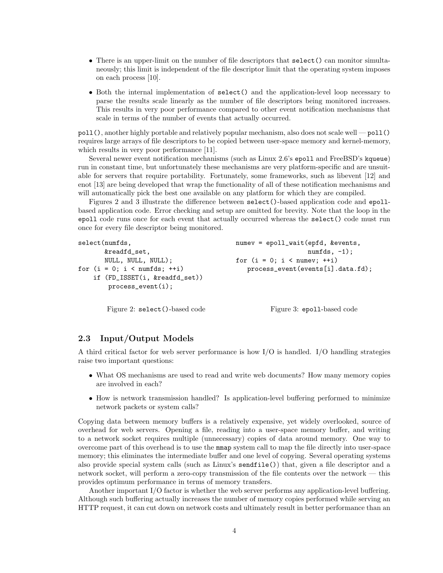- There is an upper-limit on the number of file descriptors that select () can monitor simultaneously; this limit is independent of the file descriptor limit that the operating system imposes on each process [10].
- Both the internal implementation of select() and the application-level loop necessary to parse the results scale linearly as the number of file descriptors being monitored increases. This results in very poor performance compared to other event notification mechanisms that scale in terms of the number of events that actually occurred.

poll(), another highly portable and relatively popular mechanism, also does not scale well — poll() requires large arrays of file descriptors to be copied between user-space memory and kernel-memory, which results in very poor performance [11].

Several newer event notification mechanisms (such as Linux 2.6's epoll and FreeBSD's kqueue) run in constant time, but unfortunately these mechanisms are very platform-specific and are unsuitable for servers that require portability. Fortunately, some frameworks, such as libevent [12] and enot [13] are being developed that wrap the functionality of all of these notification mechanisms and will automatically pick the best one available on any platform for which they are compiled.

Figures 2 and 3 illustrate the difference between select()-based application code and epollbased application code. Error checking and setup are omitted for brevity. Note that the loop in the epoll code runs once for each event that actually occurred whereas the select() code must run once for every file descriptor being monitored.

```
select(numfds,
       &readfd_set,
      NULL, NULL, NULL);
for (i = 0; i < numfds; ++i)if (FD_ISSET(i, &readfd_set))
       process_event(i);
                                          numev = epoll_wait(epfd, &events,
                                                              numfds, -1);
                                          for (i = 0; i < number; ++i)process_event(events[i].data.fd);
```
Figure 2: select()-based code

Figure 3: epoll-based code

### 2.3 Input/Output Models

A third critical factor for web server performance is how I/O is handled. I/O handling strategies raise two important questions:

- What OS mechanisms are used to read and write web documents? How many memory copies are involved in each?
- How is network transmission handled? Is application-level buffering performed to minimize network packets or system calls?

Copying data between memory buffers is a relatively expensive, yet widely overlooked, source of overhead for web servers. Opening a file, reading into a user-space memory buffer, and writing to a network socket requires multiple (unnecessary) copies of data around memory. One way to overcome part of this overhead is to use the mmap system call to map the file directly into user-space memory; this eliminates the intermediate buffer and one level of copying. Several operating systems also provide special system calls (such as Linux's sendfile()) that, given a file descriptor and a network socket, will perform a zero-copy transmission of the file contents over the network — this provides optimum performance in terms of memory transfers.

Another important I/O factor is whether the web server performs any application-level buffering. Although such buffering actually increases the number of memory copies performed while serving an HTTP request, it can cut down on network costs and ultimately result in better performance than an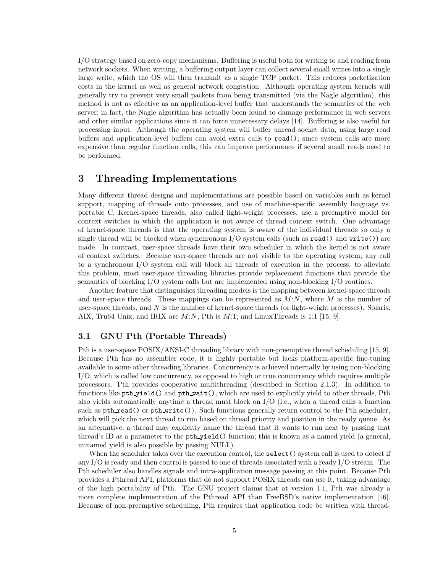I/O strategy based on zero-copy mechanisms. Buffering is useful both for writing to and reading from network sockets. When writing, a buffering output layer can collect several small writes into a single large write, which the OS will then transmit as a single TCP packet. This reduces packetization costs in the kernel as well as general network congestion. Although operating system kernels will generally try to prevent very small packets from being transmitted (via the Nagle algorithm), this method is not as effective as an application-level buffer that understands the semantics of the web server; in fact, the Nagle algorithm has actually been found to damage performance in web servers and other similar applications since it can force unnecessary delays [14]. Buffering is also useful for processing input. Although the operating system will buffer unread socket data, using large read buffers and application-level buffers can avoid extra calls to read(); since system calls are more expensive than regular function calls, this can improve performance if several small reads need to be performed.

# 3 Threading Implementations

Many different thread designs and implementations are possible based on variables such as kernel support, mapping of threads onto processes, and use of machine-specific assembly language vs. portable C. Kernel-space threads, also called light-weight processes, use a preemptive model for context switches in which the application is not aware of thread context switch. One advantage of kernel-space threads is that the operating system is aware of the individual threads so only a single thread will be blocked when synchronous  $I/O$  system calls (such as read() and write()) are made. In contrast, user-space threads have their own scheduler in which the kernel is not aware of context switches. Because user-space threads are not visible to the operating system, any call to a synchronous I/O system call will block all threads of execution in the process; to alleviate this problem, most user-space threading libraries provide replacement functions that provide the semantics of blocking I/O system calls but are implemented using non-blocking I/O routines.

Another feature that distinguishes threading models is the mapping between kernel-space threads and user-space threads. These mappings can be represented as  $M:N$ , where M is the number of user-space threads, and  $N$  is the number of kernel-space threads (or light-weight processes). Solaris, AIX, Tru64 Unix, and IRIX are  $M:N$ ; Pth is  $M:1$ ; and LinuxThreads is 1:1 [15, 9].

### 3.1 GNU Pth (Portable Threads)

Pth is a user-space POSIX/ANSI-C threading library with non-preemptive thread scheduling [15, 9]. Because Pth has no assembler code, it is highly portable but lacks platform-specific fine-tuning available in some other threading libraries. Concurrency is achieved internally by using non-blocking I/O, which is called low concurrency, as opposed to high or true concurrency which requires multiple processors. Pth provides cooperative multithreading (described in Section 2.1.3). In addition to functions like pth yield() and pth wait(), which are used to explicitly yield to other threads, Pth also yields automatically anytime a thread must block on I/O (i.e., when a thread calls a function such as pth read() or pth write()). Such functions generally return control to the Pth scheduler, which will pick the next thread to run based on thread priority and position in the ready queue. As an alternative, a thread may explicitly name the thread that it wants to run next by passing that thread's ID as a parameter to the pth yield() function; this is known as a named yield (a general, unnamed yield is also possible by passing NULL).

When the scheduler takes over the execution control, the select () system call is used to detect if any I/O is ready and then control is passed to one of threads associated with a ready I/O stream. The Pth scheduler also handles signals and intra-application message passing at this point. Because Pth provides a Pthread API, platforms that do not support POSIX threads can use it, taking advantage of the high portability of Pth. The GNU project claims that at version 1.1, Pth was already a more complete implementation of the Pthread API than FreeBSD's native implementation [16]. Because of non-preemptive scheduling, Pth requires that application code be written with thread-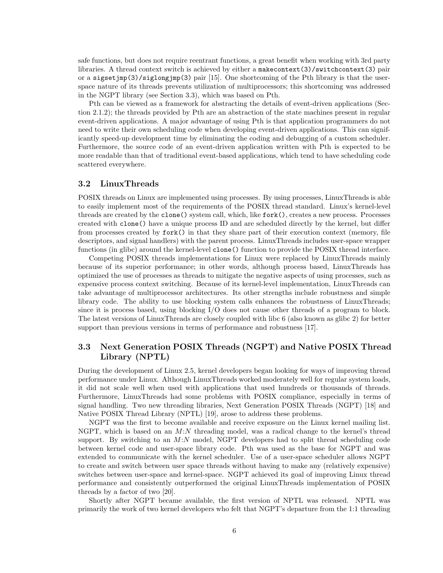safe functions, but does not require reentrant functions, a great benefit when working with 3rd party libraries. A thread context switch is achieved by either a makecontext(3)/switchcontext(3) pair or a sigset  $\text{imp}(3)$ /siglong $\text{imp}(3)$  pair [15]. One shortcoming of the Pth library is that the userspace nature of its threads prevents utilization of multiprocessors; this shortcoming was addressed in the NGPT library (see Section 3.3), which was based on Pth.

Pth can be viewed as a framework for abstracting the details of event-driven applications (Section 2.1.2); the threads provided by Pth are an abstraction of the state machines present in regular event-driven applications. A major advantage of using Pth is that application programmers do not need to write their own scheduling code when developing event-driven applications. This can significantly speed-up development time by eliminating the coding and debugging of a custom scheduler. Furthermore, the source code of an event-driven application written with Pth is expected to be more readable than that of traditional event-based applications, which tend to have scheduling code scattered everywhere.

### 3.2 LinuxThreads

POSIX threads on Linux are implemented using processes. By using processes, LinuxThreads is able to easily implement most of the requirements of the POSIX thread standard. Linux's kernel-level threads are created by the clone() system call, which, like fork(), creates a new process. Processes created with clone() have a unique process ID and are scheduled directly by the kernel, but differ from processes created by fork() in that they share part of their execution context (memory, file descriptors, and signal handlers) with the parent process. LinuxThreads includes user-space wrapper functions (in glibc) around the kernel-level clone() function to provide the POSIX thread interface.

Competing POSIX threads implementations for Linux were replaced by LinuxThreads mainly because of its superior performance; in other words, although process based, LinuxThreads has optimized the use of processes as threads to mitigate the negative aspects of using processes, such as expensive process context switching. Because of its kernel-level implementation, LinuxThreads can take advantage of multiprocessor architectures. Its other strengths include robustness and simple library code. The ability to use blocking system calls enhances the robustness of LinuxThreads; since it is process based, using blocking I/O does not cause other threads of a program to block. The latest versions of LinuxThreads are closely coupled with libc 6 (also known as glibc 2) for better support than previous versions in terms of performance and robustness [17].

### 3.3 Next Generation POSIX Threads (NGPT) and Native POSIX Thread Library (NPTL)

During the development of Linux 2.5, kernel developers began looking for ways of improving thread performance under Linux. Although LinuxThreads worked moderately well for regular system loads, it did not scale well when used with applications that used hundreds or thousands of threads. Furthermore, LinuxThreads had some problems with POSIX compliance, especially in terms of signal handling. Two new threading libraries, Next Generation POSIX Threads (NGPT) [18] and Native POSIX Thread Library (NPTL) [19], arose to address these problems.

NGPT was the first to become available and receive exposure on the Linux kernel mailing list. NGPT, which is based on an  $M:N$  threading model, was a radical change to the kernel's thread support. By switching to an  $M:N$  model, NGPT developers had to split thread scheduling code between kernel code and user-space library code. Pth was used as the base for NGPT and was extended to communicate with the kernel scheduler. Use of a user-space scheduler allows NGPT to create and switch between user space threads without having to make any (relatively expensive) switches between user-space and kernel-space. NGPT achieved its goal of improving Linux thread performance and consistently outperformed the original LinuxThreads implementation of POSIX threads by a factor of two [20].

Shortly after NGPT became available, the first version of NPTL was released. NPTL was primarily the work of two kernel developers who felt that NGPT's departure from the 1:1 threading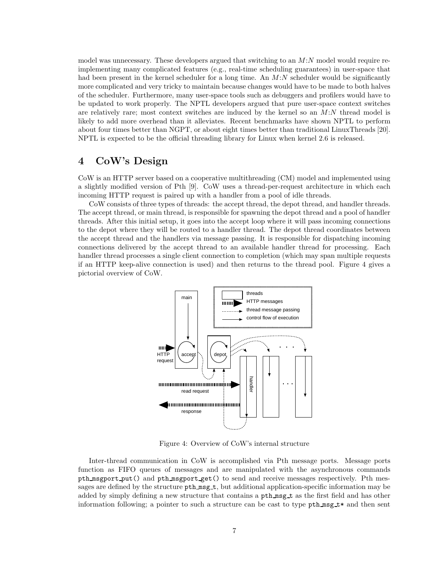model was unnecessary. These developers argued that switching to an  $M:N$  model would require reimplementing many complicated features (e.g., real-time scheduling guarantees) in user-space that had been present in the kernel scheduler for a long time. An  $M:N$  scheduler would be significantly more complicated and very tricky to maintain because changes would have to be made to both halves of the scheduler. Furthermore, many user-space tools such as debuggers and profilers would have to be updated to work properly. The NPTL developers argued that pure user-space context switches are relatively rare; most context switches are induced by the kernel so an  $M:N$  thread model is likely to add more overhead than it alleviates. Recent benchmarks have shown NPTL to perform about four times better than NGPT, or about eight times better than traditional LinuxThreads [20]. NPTL is expected to be the official threading library for Linux when kernel 2.6 is released.

### 4 CoW's Design

CoW is an HTTP server based on a cooperative multithreading (CM) model and implemented using a slightly modified version of Pth [9]. CoW uses a thread-per-request architecture in which each incoming HTTP request is paired up with a handler from a pool of idle threads.

CoW consists of three types of threads: the accept thread, the depot thread, and handler threads. The accept thread, or main thread, is responsible for spawning the depot thread and a pool of handler threads. After this initial setup, it goes into the accept loop where it will pass incoming connections to the depot where they will be routed to a handler thread. The depot thread coordinates between the accept thread and the handlers via message passing. It is responsible for dispatching incoming connections delivered by the accept thread to an available handler thread for processing. Each handler thread processes a single client connection to completion (which may span multiple requests if an HTTP keep-alive connection is used) and then returns to the thread pool. Figure 4 gives a pictorial overview of CoW.



Figure 4: Overview of CoW's internal structure

Inter-thread communication in CoW is accomplished via Pth message ports. Message ports function as FIFO queues of messages and are manipulated with the asynchronous commands pth msgport put() and pth msgport get() to send and receive messages respectively. Pth messages are defined by the structure pth msg t, but additional application-specific information may be added by simply defining a new structure that contains a pth msg t as the first field and has other information following; a pointer to such a structure can be cast to type  $pth_msg_t$  and then sent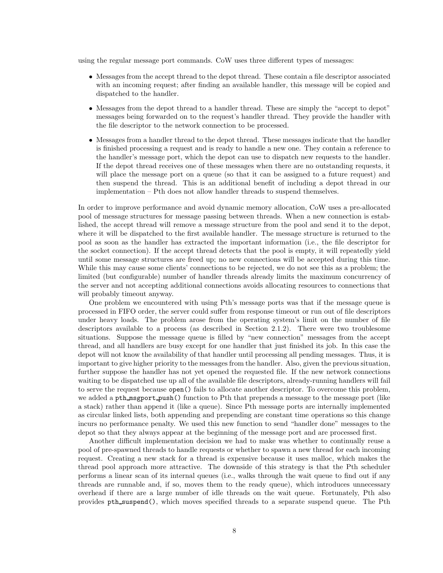using the regular message port commands. CoW uses three different types of messages:

- Messages from the accept thread to the depot thread. These contain a file descriptor associated with an incoming request; after finding an available handler, this message will be copied and dispatched to the handler.
- Messages from the depot thread to a handler thread. These are simply the "accept to depot" messages being forwarded on to the request's handler thread. They provide the handler with the file descriptor to the network connection to be processed.
- Messages from a handler thread to the depot thread. These messages indicate that the handler is finished processing a request and is ready to handle a new one. They contain a reference to the handler's message port, which the depot can use to dispatch new requests to the handler. If the depot thread receives one of these messages when there are no outstanding requests, it will place the message port on a queue (so that it can be assigned to a future request) and then suspend the thread. This is an additional benefit of including a depot thread in our implementation – Pth does not allow handler threads to suspend themselves.

In order to improve performance and avoid dynamic memory allocation, CoW uses a pre-allocated pool of message structures for message passing between threads. When a new connection is established, the accept thread will remove a message structure from the pool and send it to the depot, where it will be dispatched to the first available handler. The message structure is returned to the pool as soon as the handler has extracted the important information (i.e., the file descriptor for the socket connection). If the accept thread detects that the pool is empty, it will repeatedly yield until some message structures are freed up; no new connections will be accepted during this time. While this may cause some clients' connections to be rejected, we do not see this as a problem; the limited (but configurable) number of handler threads already limits the maximum concurrency of the server and not accepting additional connections avoids allocating resources to connections that will probably timeout anyway.

One problem we encountered with using Pth's message ports was that if the message queue is processed in FIFO order, the server could suffer from response timeout or run out of file descriptors under heavy loads. The problem arose from the operating system's limit on the number of file descriptors available to a process (as described in Section 2.1.2). There were two troublesome situations. Suppose the message queue is filled by "new connection" messages from the accept thread, and all handlers are busy except for one handler that just finished its job. In this case the depot will not know the availability of that handler until processing all pending messages. Thus, it is important to give higher priority to the messages from the handler. Also, given the previous situation, further suppose the handler has not yet opened the requested file. If the new network connections waiting to be dispatched use up all of the available file descriptors, already-running handlers will fail to serve the request because open() fails to allocate another descriptor. To overcome this problem, we added a pth\_msgport\_push() function to Pth that prepends a message to the message port (like a stack) rather than append it (like a queue). Since Pth message ports are internally implemented as circular linked lists, both appending and prepending are constant time operations so this change incurs no performance penalty. We used this new function to send "handler done" messages to the depot so that they always appear at the beginning of the message port and are processed first.

Another difficult implementation decision we had to make was whether to continually reuse a pool of pre-spawned threads to handle requests or whether to spawn a new thread for each incoming request. Creating a new stack for a thread is expensive because it uses malloc, which makes the thread pool approach more attractive. The downside of this strategy is that the Pth scheduler performs a linear scan of its internal queues (i.e., walks through the wait queue to find out if any threads are runnable and, if so, moves them to the ready queue), which introduces unnecessary overhead if there are a large number of idle threads on the wait queue. Fortunately, Pth also provides pth suspend(), which moves specified threads to a separate suspend queue. The Pth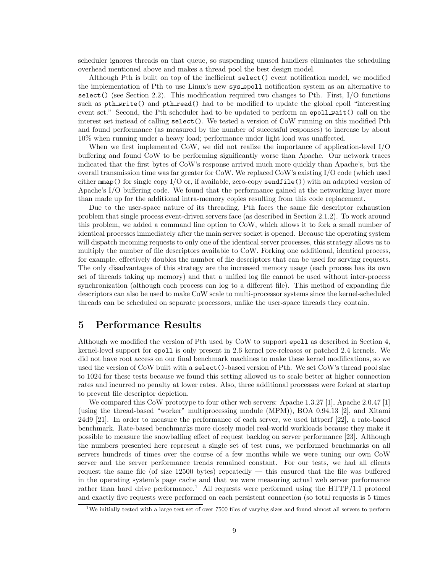scheduler ignores threads on that queue, so suspending unused handlers eliminates the scheduling overhead mentioned above and makes a thread pool the best design model.

Although Pth is built on top of the inefficient select() event notification model, we modified the implementation of Pth to use Linux's new sys epoll notification system as an alternative to select() (see Section 2.2). This modification required two changes to Pth. First,  $I/O$  functions such as pth\_write() and pth\_read() had to be modified to update the global epoll "interesting event set." Second, the Pth scheduler had to be updated to perform an epoll wait() call on the interest set instead of calling select(). We tested a version of CoW running on this modified Pth and found performance (as measured by the number of successful responses) to increase by about 10% when running under a heavy load; performance under light load was unaffected.

When we first implemented CoW, we did not realize the importance of application-level I/O buffering and found CoW to be performing significantly worse than Apache. Our network traces indicated that the first bytes of CoW's response arrived much more quickly than Apache's, but the overall transmission time was far greater for CoW. We replaced CoW's existing I/O code (which used either  $mmap()$  for single copy I/O or, if available, zero-copy sendfile()) with an adapted version of Apache's I/O buffering code. We found that the performance gained at the networking layer more than made up for the additional intra-memory copies resulting from this code replacement.

Due to the user-space nature of its threading, Pth faces the same file descriptor exhaustion problem that single process event-driven servers face (as described in Section 2.1.2). To work around this problem, we added a command line option to CoW, which allows it to fork a small number of identical processes immediately after the main server socket is opened. Because the operating system will dispatch incoming requests to only one of the identical server processes, this strategy allows us to multiply the number of file descriptors available to CoW. Forking one additional, identical process, for example, effectively doubles the number of file descriptors that can be used for serving requests. The only disadvantages of this strategy are the increased memory usage (each process has its own set of threads taking up memory) and that a unified log file cannot be used without inter-process synchronization (although each process can log to a different file). This method of expanding file descriptors can also be used to make CoW scale to multi-processor systems since the kernel-scheduled threads can be scheduled on separate processors, unlike the user-space threads they contain.

### 5 Performance Results

Although we modified the version of Pth used by CoW to support epoll as described in Section 4, kernel-level support for epoll is only present in 2.6 kernel pre-releases or patched 2.4 kernels. We did not have root access on our final benchmark machines to make these kernel modifications, so we used the version of CoW built with a select()-based version of Pth. We set CoW's thread pool size to 1024 for these tests because we found this setting allowed us to scale better at higher connection rates and incurred no penalty at lower rates. Also, three additional processes were forked at startup to prevent file descriptor depletion.

We compared this CoW prototype to four other web servers: Apache 1.3.27 [1], Apache 2.0.47 [1] (using the thread-based "worker" multiprocessing module (MPM)), BOA 0.94.13 [2], and Xitami 24d9 [21]. In order to measure the performance of each server, we used httperf [22], a rate-based benchmark. Rate-based benchmarks more closely model real-world workloads because they make it possible to measure the snowballing effect of request backlog on server performance [23]. Although the numbers presented here represent a single set of test runs, we performed benchmarks on all servers hundreds of times over the course of a few months while we were tuning our own CoW server and the server performance trends remained constant. For our tests, we had all clients request the same file (of size 12500 bytes) repeatedly — this ensured that the file was buffered in the operating system's page cache and that we were measuring actual web server performance rather than hard drive performance.<sup>1</sup> All requests were performed using the  $HTTP/1.1$  protocol and exactly five requests were performed on each persistent connection (so total requests is 5 times

<sup>&</sup>lt;sup>1</sup>We initially tested with a large test set of over 7500 files of varying sizes and found almost all servers to perform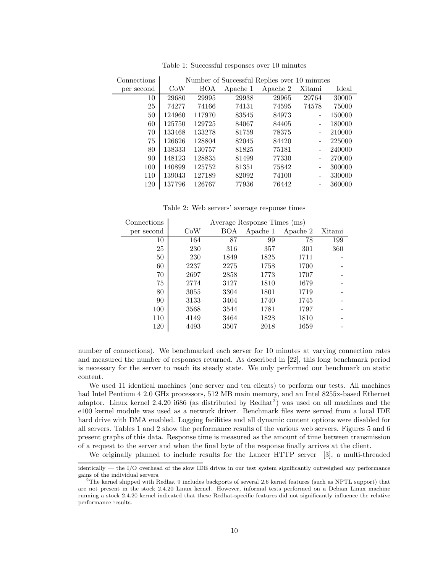| Connections | Number of Successful Replies over 10 minutes |            |          |          |        |        |  |  |
|-------------|----------------------------------------------|------------|----------|----------|--------|--------|--|--|
| per second  | CoW                                          | <b>BOA</b> | Apache 1 | Apache 2 | Xitami | Ideal  |  |  |
| 10          | 29680                                        | 29995      | 29938    | 29965    | 29764  | 30000  |  |  |
| 25          | 74277                                        | 74166      | 74131    | 74595    | 74578  | 75000  |  |  |
| 50          | 124960                                       | 117970     | 83545    | 84973    |        | 150000 |  |  |
| 60          | 125750                                       | 129725     | 84067    | 84405    |        | 180000 |  |  |
| 70          | 133468                                       | 133278     | 81759    | 78375    |        | 210000 |  |  |
| 75          | 126626                                       | 128804     | 82045    | 84420    |        | 225000 |  |  |
| 80          | 138333                                       | 130757     | 81825    | 75181    |        | 240000 |  |  |
| 90          | 148123                                       | 128835     | 81499    | 77330    |        | 270000 |  |  |
| 100         | 140899                                       | 125752     | 81351    | 75842    |        | 300000 |  |  |
| 110         | 139043                                       | 127189     | 82092    | 74100    |        | 330000 |  |  |
| 120         | 137796                                       | 126767     | 77936    | 76442    |        | 360000 |  |  |

Table 1: Successful responses over 10 minutes

Table 2: Web servers' average response times

| Connections | Average Response Times (ms) |      |          |          |        |  |  |  |
|-------------|-----------------------------|------|----------|----------|--------|--|--|--|
| per second  | CoW                         | BOA  | Apache 1 | Apache 2 | Xitami |  |  |  |
| 10          | 164                         | 87   | 99       | 78       | 199    |  |  |  |
| 25          | 230                         | 316  | 357      | 301      | 360    |  |  |  |
| 50          | 230                         | 1849 | 1825     | 1711     |        |  |  |  |
| 60          | 2237                        | 2275 | 1758     | 1700     |        |  |  |  |
| 70          | 2697                        | 2858 | 1773     | 1707     |        |  |  |  |
| 75          | 2774                        | 3127 | 1810     | 1679     |        |  |  |  |
| 80          | 3055                        | 3304 | 1801     | 1719     |        |  |  |  |
| 90          | 3133                        | 3404 | 1740     | 1745     |        |  |  |  |
| 100         | 3568                        | 3544 | 1781     | 1797     |        |  |  |  |
| 110         | 4149                        | 3464 | 1828     | 1810     |        |  |  |  |
| 120         | 4493                        | 3507 | 2018     | 1659     |        |  |  |  |

number of connections). We benchmarked each server for 10 minutes at varying connection rates and measured the number of responses returned. As described in [22], this long benchmark period is necessary for the server to reach its steady state. We only performed our benchmark on static content.

We used 11 identical machines (one server and ten clients) to perform our tests. All machines had Intel Pentium 4 2.0 GHz processors, 512 MB main memory, and an Intel 8255x-based Ethernet adaptor. Linux kernel 2.4.20 i686 (as distributed by Redhat<sup>2</sup>) was used on all machines and the e100 kernel module was used as a network driver. Benchmark files were served from a local IDE hard drive with DMA enabled. Logging facilities and all dynamic content options were disabled for all servers. Tables 1 and 2 show the performance results of the various web servers. Figures 5 and 6 present graphs of this data. Response time is measured as the amount of time between transmission of a request to the server and when the final byte of the response finally arrives at the client.

We originally planned to include results for the Lancer HTTP server [3], a multi-threaded

identically — the I/O overhead of the slow IDE drives in our test system significantly outweighed any performance gains of the individual servers.

<sup>2</sup>The kernel shipped with Redhat 9 includes backports of several 2.6 kernel features (such as NPTL support) that are not present in the stock 2.4.20 Linux kernel. However, informal tests performed on a Debian Linux machine running a stock 2.4.20 kernel indicated that these Redhat-specific features did not significantly influence the relative performance results.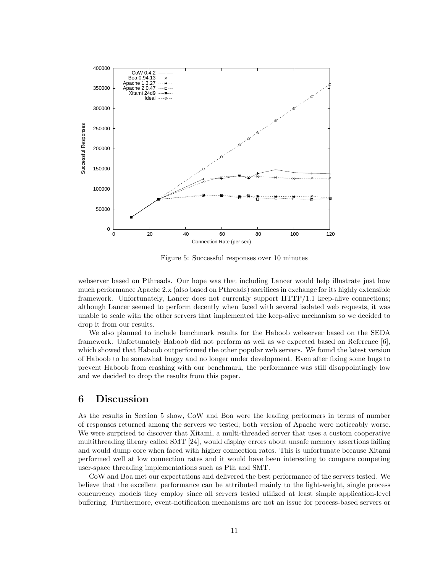

Figure 5: Successful responses over 10 minutes

webserver based on Pthreads. Our hope was that including Lancer would help illustrate just how much performance Apache 2.x (also based on Pthreads) sacrifices in exchange for its highly extensible framework. Unfortunately, Lancer does not currently support HTTP/1.1 keep-alive connections; although Lancer seemed to perform decently when faced with several isolated web requests, it was unable to scale with the other servers that implemented the keep-alive mechanism so we decided to drop it from our results.

We also planned to include benchmark results for the Haboob webserver based on the SEDA framework. Unfortunately Haboob did not perform as well as we expected based on Reference [6], which showed that Haboob outperformed the other popular web servers. We found the latest version of Haboob to be somewhat buggy and no longer under development. Even after fixing some bugs to prevent Haboob from crashing with our benchmark, the performance was still disappointingly low and we decided to drop the results from this paper.

### 6 Discussion

As the results in Section 5 show, CoW and Boa were the leading performers in terms of number of responses returned among the servers we tested; both version of Apache were noticeably worse. We were surprised to discover that Xitami, a multi-threaded server that uses a custom cooperative multithreading library called SMT [24], would display errors about unsafe memory assertions failing and would dump core when faced with higher connection rates. This is unfortunate because Xitami performed well at low connection rates and it would have been interesting to compare competing user-space threading implementations such as Pth and SMT.

CoW and Boa met our expectations and delivered the best performance of the servers tested. We believe that the excellent performance can be attributed mainly to the light-weight, single process concurrency models they employ since all servers tested utilized at least simple application-level buffering. Furthermore, event-notification mechanisms are not an issue for process-based servers or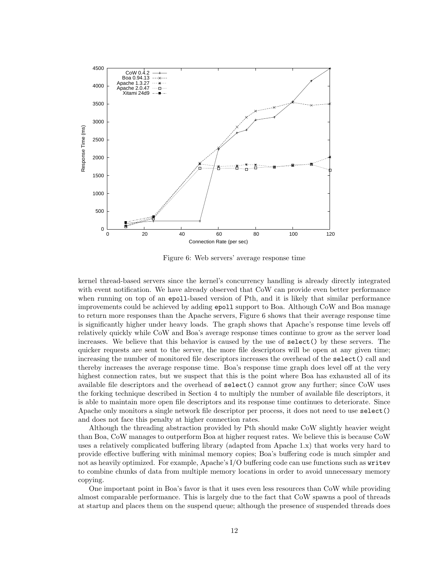

Figure 6: Web servers' average response time

kernel thread-based servers since the kernel's concurrency handling is already directly integrated with event notification. We have already observed that CoW can provide even better performance when running on top of an epoll-based version of Pth, and it is likely that similar performance improvements could be achieved by adding epoll support to Boa. Although CoW and Boa manage to return more responses than the Apache servers, Figure 6 shows that their average response time is significantly higher under heavy loads. The graph shows that Apache's response time levels off relatively quickly while CoW and Boa's average response times continue to grow as the server load increases. We believe that this behavior is caused by the use of select() by these servers. The quicker requests are sent to the server, the more file descriptors will be open at any given time; increasing the number of monitored file descriptors increases the overhead of the select() call and thereby increases the average response time. Boa's response time graph does level off at the very highest connection rates, but we suspect that this is the point where Boa has exhausted all of its available file descriptors and the overhead of select() cannot grow any further; since CoW uses the forking technique described in Section 4 to multiply the number of available file descriptors, it is able to maintain more open file descriptors and its response time continues to deteriorate. Since Apache only monitors a single network file descriptor per process, it does not need to use select() and does not face this penalty at higher connection rates.

Although the threading abstraction provided by Pth should make CoW slightly heavier weight than Boa, CoW manages to outperform Boa at higher request rates. We believe this is because CoW uses a relatively complicated buffering library (adapted from Apache 1.x) that works very hard to provide effective buffering with minimal memory copies; Boa's buffering code is much simpler and not as heavily optimized. For example, Apache's I/O buffering code can use functions such as writev to combine chunks of data from multiple memory locations in order to avoid unnecessary memory copying.

One important point in Boa's favor is that it uses even less resources than CoW while providing almost comparable performance. This is largely due to the fact that CoW spawns a pool of threads at startup and places them on the suspend queue; although the presence of suspended threads does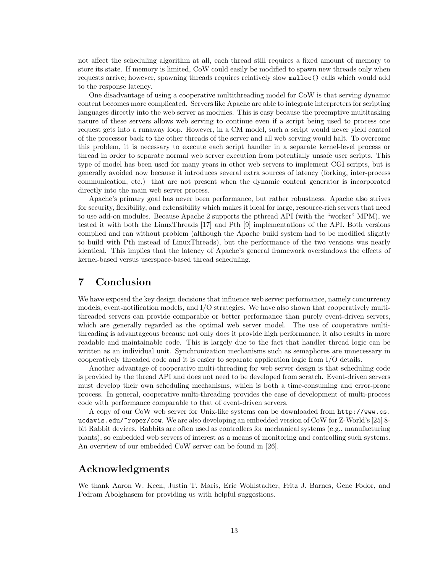not affect the scheduling algorithm at all, each thread still requires a fixed amount of memory to store its state. If memory is limited, CoW could easily be modified to spawn new threads only when requests arrive; however, spawning threads requires relatively slow malloc() calls which would add to the response latency.

One disadvantage of using a cooperative multithreading model for CoW is that serving dynamic content becomes more complicated. Servers like Apache are able to integrate interpreters for scripting languages directly into the web server as modules. This is easy because the preemptive multitasking nature of these servers allows web serving to continue even if a script being used to process one request gets into a runaway loop. However, in a CM model, such a script would never yield control of the processor back to the other threads of the server and all web serving would halt. To overcome this problem, it is necessary to execute each script handler in a separate kernel-level process or thread in order to separate normal web server execution from potentially unsafe user scripts. This type of model has been used for many years in other web servers to implement CGI scripts, but is generally avoided now because it introduces several extra sources of latency (forking, inter-process communication, etc.) that are not present when the dynamic content generator is incorporated directly into the main web server process.

Apache's primary goal has never been performance, but rather robustness. Apache also strives for security, flexibility, and extensibility which makes it ideal for large, resource-rich servers that need to use add-on modules. Because Apache 2 supports the pthread API (with the "worker" MPM), we tested it with both the LinuxThreads [17] and Pth [9] implementations of the API. Both versions compiled and ran without problem (although the Apache build system had to be modified slightly to build with Pth instead of LinuxThreads), but the performance of the two versions was nearly identical. This implies that the latency of Apache's general framework overshadows the effects of kernel-based versus userspace-based thread scheduling.

# 7 Conclusion

We have exposed the key design decisions that influence web server performance, namely concurrency models, event-notification models, and I/O strategies. We have also shown that cooperatively multithreaded servers can provide comparable or better performance than purely event-driven servers, which are generally regarded as the optimal web server model. The use of cooperative multithreading is advantageous because not only does it provide high performance, it also results in more readable and maintainable code. This is largely due to the fact that handler thread logic can be written as an individual unit. Synchronization mechanisms such as semaphores are unnecessary in cooperatively threaded code and it is easier to separate application logic from I/O details.

Another advantage of cooperative multi-threading for web server design is that scheduling code is provided by the thread API and does not need to be developed from scratch. Event-driven servers must develop their own scheduling mechanisms, which is both a time-consuming and error-prone process. In general, cooperative multi-threading provides the ease of development of multi-process code with performance comparable to that of event-driven servers.

A copy of our CoW web server for Unix-like systems can be downloaded from http://www.cs. ucdavis.edu/~roper/cow. We are also developing an embedded version of CoW for Z-World's [25] 8 bit Rabbit devices. Rabbits are often used as controllers for mechanical systems (e.g., manufacturing plants), so embedded web servers of interest as a means of monitoring and controlling such systems. An overview of our embedded CoW server can be found in [26].

# Acknowledgments

We thank Aaron W. Keen, Justin T. Maris, Eric Wohlstadter, Fritz J. Barnes, Gene Fodor, and Pedram Abolghasem for providing us with helpful suggestions.